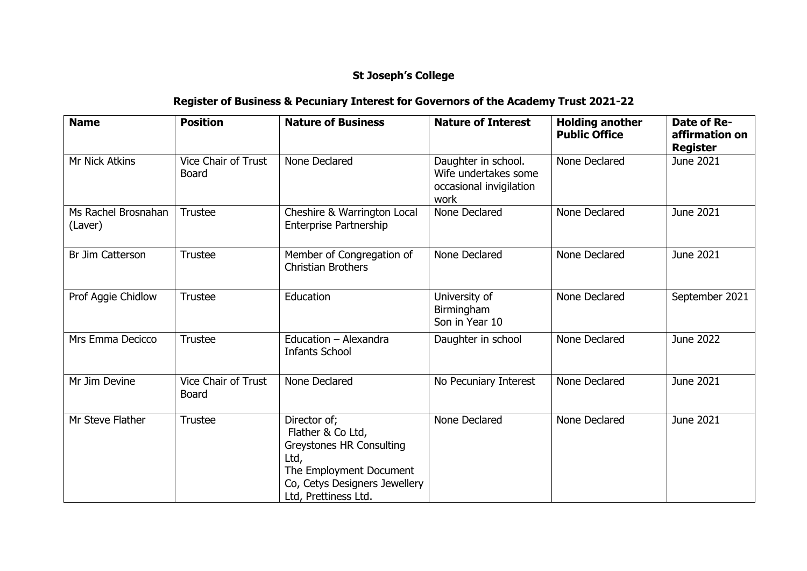## **St Joseph's College**

## **Register of Business & Pecuniary Interest for Governors of the Academy Trust 2021-22**

| <b>Name</b>                    | <b>Position</b>                            | <b>Nature of Business</b>                                                                                                                                 | <b>Nature of Interest</b>                                                      | <b>Holding another</b><br><b>Public Office</b> | Date of Re-<br>affirmation on<br><b>Register</b> |
|--------------------------------|--------------------------------------------|-----------------------------------------------------------------------------------------------------------------------------------------------------------|--------------------------------------------------------------------------------|------------------------------------------------|--------------------------------------------------|
| Mr Nick Atkins                 | Vice Chair of Trust<br><b>Board</b>        | None Declared                                                                                                                                             | Daughter in school.<br>Wife undertakes some<br>occasional invigilation<br>work | None Declared                                  | June 2021                                        |
| Ms Rachel Brosnahan<br>(Laver) | <b>Trustee</b>                             | Cheshire & Warrington Local<br><b>Enterprise Partnership</b>                                                                                              | None Declared                                                                  | None Declared                                  | June 2021                                        |
| Br Jim Catterson               | <b>Trustee</b>                             | Member of Congregation of<br><b>Christian Brothers</b>                                                                                                    | None Declared                                                                  | None Declared                                  | June 2021                                        |
| Prof Aggie Chidlow             | <b>Trustee</b>                             | Education                                                                                                                                                 | University of<br>Birmingham<br>Son in Year 10                                  | None Declared                                  | September 2021                                   |
| Mrs Emma Decicco               | <b>Trustee</b>                             | Education - Alexandra<br><b>Infants School</b>                                                                                                            | Daughter in school                                                             | None Declared                                  | June 2022                                        |
| Mr Jim Devine                  | <b>Vice Chair of Trust</b><br><b>Board</b> | None Declared                                                                                                                                             | No Pecuniary Interest                                                          | None Declared                                  | June 2021                                        |
| Mr Steve Flather               | <b>Trustee</b>                             | Director of;<br>Flather & Co Ltd,<br>Greystones HR Consulting<br>Ltd,<br>The Employment Document<br>Co, Cetys Designers Jewellery<br>Ltd, Prettiness Ltd. | None Declared                                                                  | None Declared                                  | June 2021                                        |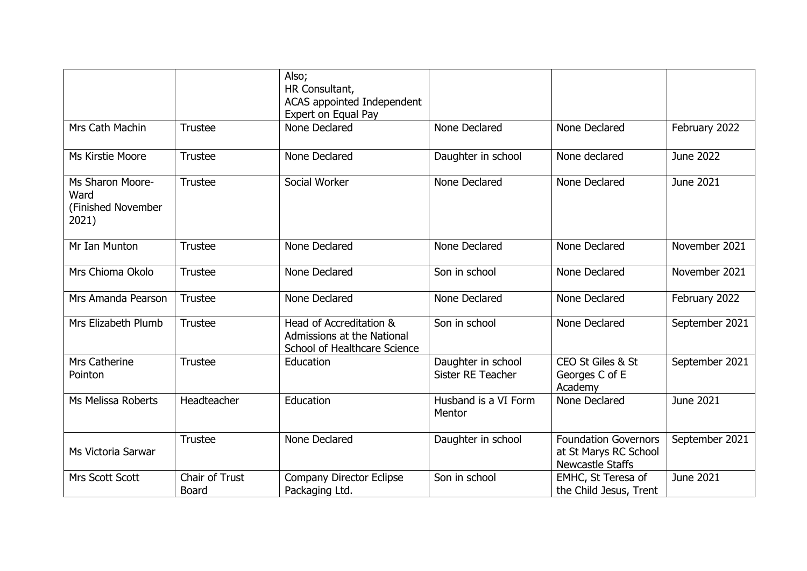|                                                         |                                | Also;<br>HR Consultant,<br>ACAS appointed Independent<br>Expert on Equal Pay          |                                         |                                                                          |                  |
|---------------------------------------------------------|--------------------------------|---------------------------------------------------------------------------------------|-----------------------------------------|--------------------------------------------------------------------------|------------------|
| Mrs Cath Machin                                         | <b>Trustee</b>                 | None Declared                                                                         | None Declared                           | None Declared                                                            | February 2022    |
| Ms Kirstie Moore                                        | <b>Trustee</b>                 | None Declared                                                                         | Daughter in school                      | None declared                                                            | <b>June 2022</b> |
| Ms Sharon Moore-<br>Ward<br>(Finished November<br>2021) | <b>Trustee</b>                 | Social Worker                                                                         | None Declared                           | None Declared                                                            | June 2021        |
| Mr Ian Munton                                           | <b>Trustee</b>                 | None Declared                                                                         | None Declared                           | None Declared                                                            | November 2021    |
| Mrs Chioma Okolo                                        | <b>Trustee</b>                 | None Declared                                                                         | Son in school                           | None Declared                                                            | November 2021    |
| Mrs Amanda Pearson                                      | <b>Trustee</b>                 | None Declared                                                                         | None Declared                           | None Declared                                                            | February 2022    |
| Mrs Elizabeth Plumb                                     | <b>Trustee</b>                 | Head of Accreditation &<br>Admissions at the National<br>School of Healthcare Science | Son in school                           | None Declared                                                            | September 2021   |
| Mrs Catherine<br>Pointon                                | <b>Trustee</b>                 | Education                                                                             | Daughter in school<br>Sister RE Teacher | CEO St Giles & St<br>Georges C of E<br>Academy                           | September 2021   |
| Ms Melissa Roberts                                      | Headteacher                    | Education                                                                             | Husband is a VI Form<br>Mentor          | None Declared                                                            | June 2021        |
| Ms Victoria Sarwar                                      | <b>Trustee</b>                 | None Declared                                                                         | Daughter in school                      | <b>Foundation Governors</b><br>at St Marys RC School<br>Newcastle Staffs | September 2021   |
| Mrs Scott Scott                                         | Chair of Trust<br><b>Board</b> | Company Director Eclipse<br>Packaging Ltd.                                            | Son in school                           | EMHC, St Teresa of<br>the Child Jesus, Trent                             | June 2021        |